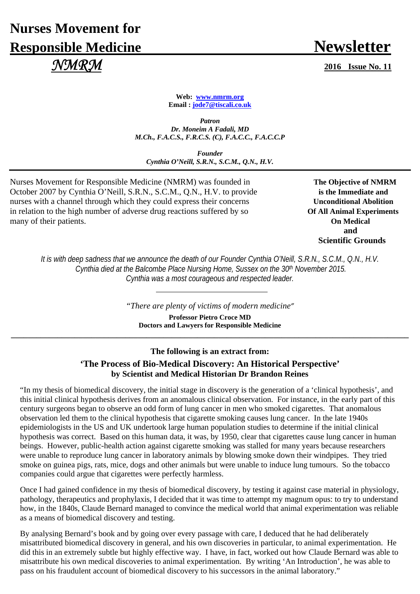# **Nurses Movement for Responsible Medicine Newsletter**  *NMRM* **2016 Issue No. 11**

**Web: www.nmrm.org Email : jode7@tiscali.co.uk** 

*Patron Dr. Moneim A Fadali, MD M.Ch., F.A.C.S., F.R.C.S. (C), F.A.C.C., F.A.C.C.P* 

*Founder Cynthia O'Neill, S.R.N., S.C.M., Q.N., H.V.*

Nurses Movement for Responsible Medicine (NMRM) was founded in **The Objective of NMRM** October 2007 by Cynthia O'Neill, S.R.N., S.C.M., Q.N., H.V. to provide **is the Immediate and** nurses with a channel through which they could express their concerns **Unconditional Abolition** in relation to the high number of adverse drug reactions suffered by so **Of All Animal Experiments** many of their patients. **On Medical** 

**and and and Scientific Grounds** 

*It is with deep sadness that we announce the death of our Founder Cynthia O'Neill, S.R.N., S.C.M., Q.N., H.V. Cynthia died at the Balcombe Place Nursing Home, Sussex on the 30th November 2015. Cynthia was a most courageous and respected leader.* 

*"There are plenty of victims of modern medicine"*

**Professor Pietro Croce MD Doctors and Lawyers for Responsible Medicine \_\_\_\_\_\_\_\_\_\_\_\_\_\_\_\_\_\_\_\_\_\_\_\_\_\_\_\_\_\_\_\_\_\_\_\_\_\_\_\_\_\_\_\_\_\_\_\_\_\_\_\_\_\_\_\_\_\_\_\_\_\_\_\_\_\_\_\_\_\_\_\_\_\_\_\_\_\_\_\_\_\_\_\_\_\_\_\_\_\_\_\_\_\_**

### **The following is an extract from: 'The Process of Bio-Medical Discovery: An Historical Perspective' by Scientist and Medical Historian Dr Brandon Reines**

"In my thesis of biomedical discovery, the initial stage in discovery is the generation of a 'clinical hypothesis', and this initial clinical hypothesis derives from an anomalous clinical observation. For instance, in the early part of this century surgeons began to observe an odd form of lung cancer in men who smoked cigarettes. That anomalous observation led them to the clinical hypothesis that cigarette smoking causes lung cancer. In the late 1940s epidemiologists in the US and UK undertook large human population studies to determine if the initial clinical hypothesis was correct. Based on this human data, it was, by 1950, clear that cigarettes cause lung cancer in human beings. However, public-health action against cigarette smoking was stalled for many years because researchers were unable to reproduce lung cancer in laboratory animals by blowing smoke down their windpipes. They tried smoke on guinea pigs, rats, mice, dogs and other animals but were unable to induce lung tumours. So the tobacco companies could argue that cigarettes were perfectly harmless.

Once I had gained confidence in my thesis of biomedical discovery, by testing it against case material in physiology, pathology, therapeutics and prophylaxis, I decided that it was time to attempt my magnum opus: to try to understand how, in the 1840s, Claude Bernard managed to convince the medical world that animal experimentation was reliable as a means of biomedical discovery and testing.

By analysing Bernard's book and by going over every passage with care, I deduced that he had deliberately misattributed biomedical discovery in general, and his own discoveries in particular, to animal experimentation. He did this in an extremely subtle but highly effective way. I have, in fact, worked out how Claude Bernard was able to misattribute his own medical discoveries to animal experimentation. By writing 'An Introduction', he was able to pass on his fraudulent account of biomedical discovery to his successors in the animal laboratory."